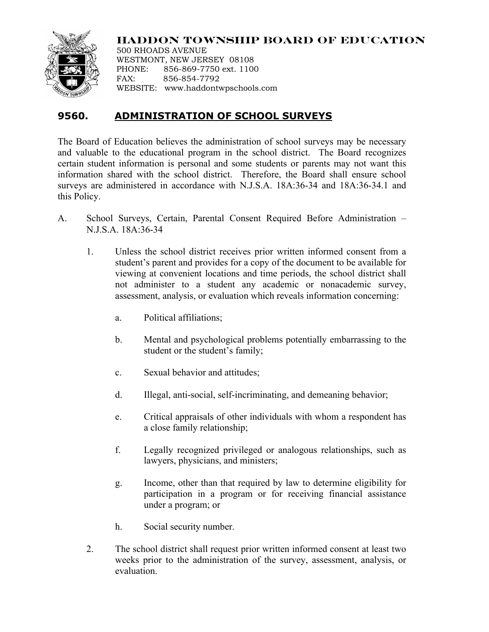

**HADDON TOWNSHIP BOARD OF EDUCATION**

500 RHOADS AVENUE WESTMONT, NEW JERSEY 08108 PHONE: 856-869-7750 ext. 1100 FAX: 856-854-7792 WEBSITE: www.haddontwpschools.com

## **9560. ADMINISTRATION OF SCHOOL SURVEYS**

The Board of Education believes the administration of school surveys may be necessary and valuable to the educational program in the school district. The Board recognizes certain student information is personal and some students or parents may not want this information shared with the school district. Therefore, the Board shall ensure school surveys are administered in accordance with N.J.S.A. 18A:36-34 and 18A:36-34.1 and this Policy.

- A. School Surveys, Certain, Parental Consent Required Before Administration N.J.S.A. 18A:36-34
	- 1. Unless the school district receives prior written informed consent from a student's parent and provides for a copy of the document to be available for viewing at convenient locations and time periods, the school district shall not administer to a student any academic or nonacademic survey, assessment, analysis, or evaluation which reveals information concerning:
		- a. Political affiliations;
		- b. Mental and psychological problems potentially embarrassing to the student or the student's family;
		- c. Sexual behavior and attitudes;
		- d. Illegal, anti-social, self-incriminating, and demeaning behavior;
		- e. Critical appraisals of other individuals with whom a respondent has a close family relationship;
		- f. Legally recognized privileged or analogous relationships, such as lawyers, physicians, and ministers;
		- g. Income, other than that required by law to determine eligibility for participation in a program or for receiving financial assistance under a program; or
		- h. Social security number.
	- 2. The school district shall request prior written informed consent at least two weeks prior to the administration of the survey, assessment, analysis, or evaluation.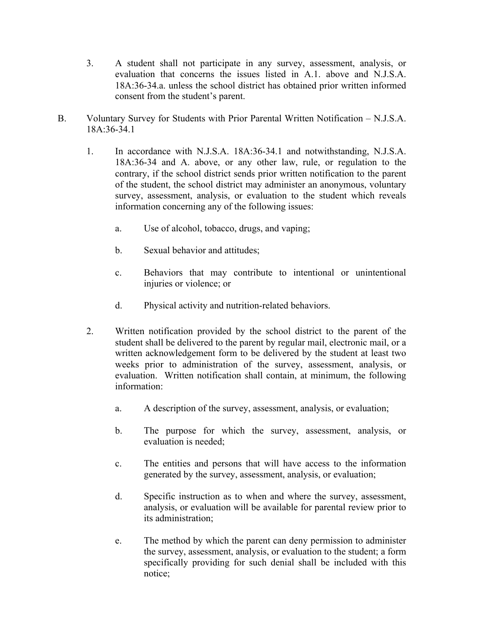- 3. A student shall not participate in any survey, assessment, analysis, or evaluation that concerns the issues listed in A.1. above and N.J.S.A. 18A:36-34.a. unless the school district has obtained prior written informed consent from the student's parent.
- B. Voluntary Survey for Students with Prior Parental Written Notification N.J.S.A. 18A:36-34.1
	- 1. In accordance with N.J.S.A. 18A:36-34.1 and notwithstanding, N.J.S.A. 18A:36-34 and A. above, or any other law, rule, or regulation to the contrary, if the school district sends prior written notification to the parent of the student, the school district may administer an anonymous, voluntary survey, assessment, analysis, or evaluation to the student which reveals information concerning any of the following issues:
		- a. Use of alcohol, tobacco, drugs, and vaping;
		- b. Sexual behavior and attitudes;
		- c. Behaviors that may contribute to intentional or unintentional injuries or violence; or
		- d. Physical activity and nutrition-related behaviors.
	- 2. Written notification provided by the school district to the parent of the student shall be delivered to the parent by regular mail, electronic mail, or a written acknowledgement form to be delivered by the student at least two weeks prior to administration of the survey, assessment, analysis, or evaluation. Written notification shall contain, at minimum, the following information:
		- a. A description of the survey, assessment, analysis, or evaluation;
		- b. The purpose for which the survey, assessment, analysis, or evaluation is needed;
		- c. The entities and persons that will have access to the information generated by the survey, assessment, analysis, or evaluation;
		- d. Specific instruction as to when and where the survey, assessment, analysis, or evaluation will be available for parental review prior to its administration;
		- e. The method by which the parent can deny permission to administer the survey, assessment, analysis, or evaluation to the student; a form specifically providing for such denial shall be included with this notice;